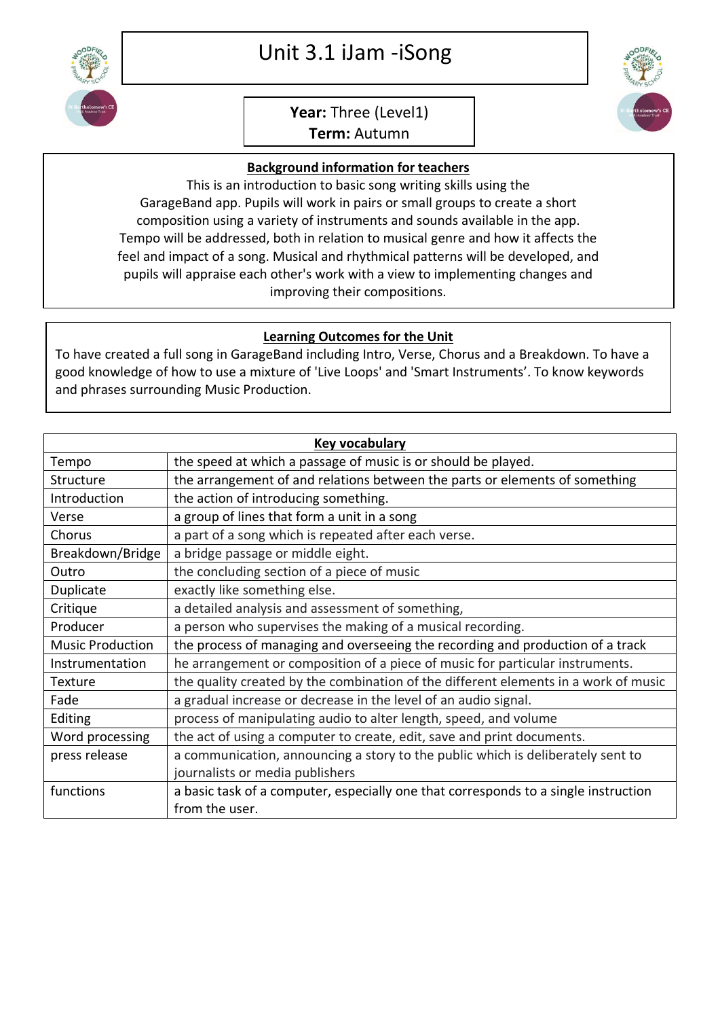

## Unit 3.1 iJam -iSong

## **Year:** Three (Level1)

**Term:** Autumn

## **Background information for teachers**

This is an introduction to basic song writing skills using the GarageBand app. Pupils will work in pairs or small groups to create a short composition using a variety of instruments and sounds available in the app. Tempo will be addressed, both in relation to musical genre and how it affects the feel and impact of a song. Musical and rhythmical patterns will be developed, and pupils will appraise each other's work with a view to implementing changes and improving their compositions.

## **Learning Outcomes for the Unit**

To have created a full song in GarageBand including Intro, Verse, Chorus and a Breakdown. To have a good knowledge of how to use a mixture of 'Live Loops' and 'Smart Instruments'. To know keywords and phrases surrounding Music Production.

| Key vocabulary          |                                                                                     |  |
|-------------------------|-------------------------------------------------------------------------------------|--|
| Tempo                   | the speed at which a passage of music is or should be played.                       |  |
| Structure               | the arrangement of and relations between the parts or elements of something         |  |
| Introduction            | the action of introducing something.                                                |  |
| Verse                   | a group of lines that form a unit in a song                                         |  |
| Chorus                  | a part of a song which is repeated after each verse.                                |  |
| Breakdown/Bridge        | a bridge passage or middle eight.                                                   |  |
| Outro                   | the concluding section of a piece of music                                          |  |
| Duplicate               | exactly like something else.                                                        |  |
| Critique                | a detailed analysis and assessment of something,                                    |  |
| Producer                | a person who supervises the making of a musical recording.                          |  |
| <b>Music Production</b> | the process of managing and overseeing the recording and production of a track      |  |
| Instrumentation         | he arrangement or composition of a piece of music for particular instruments.       |  |
| Texture                 | the quality created by the combination of the different elements in a work of music |  |
| Fade                    | a gradual increase or decrease in the level of an audio signal.                     |  |
| Editing                 | process of manipulating audio to alter length, speed, and volume                    |  |
| Word processing         | the act of using a computer to create, edit, save and print documents.              |  |
| press release           | a communication, announcing a story to the public which is deliberately sent to     |  |
|                         | journalists or media publishers                                                     |  |
| functions               | a basic task of a computer, especially one that corresponds to a single instruction |  |
|                         | from the user.                                                                      |  |